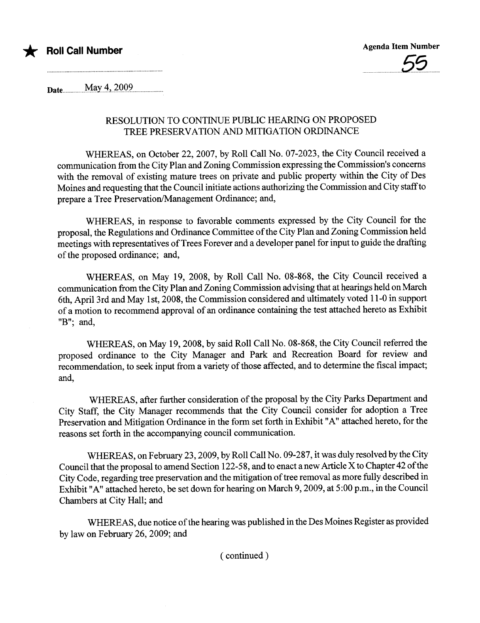

Da te............. May...~...i..Q.Q.2........... .......

## RESOLUTION TO CONTINUE PUBLIC HEARING ON PROPOSED TREE PRESERVATION AND MITIGATION ORDINANCE

WHEREAS, on October 22,2007, by Roll Call No. 07-2023, the City Council received a communcation from the City Plan and Zoning Commission expressing the Commission's concerns with the removal of existing mature trees on private and public property within the City of Des Moines and requesting that the Council initiate actions authorizing the Commission and City staff to prepare a Tree Preservation/Management Ordinance; and,

WHEREAS, in response to favorable comments expressed by the City Council for the proposal, the Regulations and Ordinance Committee of the City Plan and Zoning Commission held meetings with representatives of Trees Forever and a developer panel for input to guide the drafting of the proposed ordinance; and,

WHEREAS, on May 19, 2008, by Roll Call No. 08-868, the City Council received a communication from the City Plan and Zoning Commission advising that at hearings held on March 6th, April 3rd and May 1 st, 2008, the Commission considered and ultimately voted 11-0 in support of a motion to recommend approval of an ordinance containing the test attached hereto as Exhibit "B"; and,

WHEREAS, on May 19,2008, by said Roll Call No. 08-868, the City Council referred the proposed ordinance to the City Manager and Park and Recreation Board for review and recommendation, to seek input from a variety of those affected, and to determine the fiscal impact; and,

WHEREAS, after further consideration of the proposal by the City Parks Department and City Staff, the City Manager recommends that the City Council consider for adoption a Tree Preservation and Mitigation Ordinance in the form set forth in Exhibit "A" attached hereto, for the reasons set forth in the accompanying council communcation.

WHEREAS, on February 23, 2009, by Roll Call No. 09-287, it was duly resolved by the City Council that the proposal to amend Section 122-58, and to enact anew Aricle X to Chapter 42 of the City Code, regarding tree preservation and the mitigation of tree removal as more fully described in Exhibit "A" attached hereto, be set down for hearing on March 9, 2009, at 5:00 p.m., in the Council Chambers at City Hall; and

WHEREAS, due notice of the hearing was published in the Des Moines Register as provided by law on February 26, 2009; and

( continued)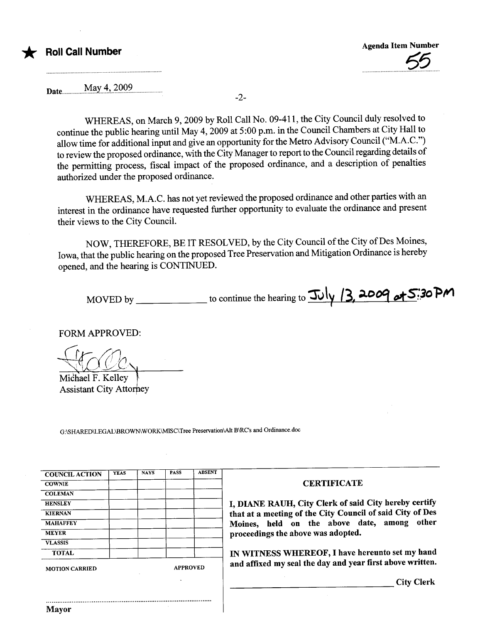# **Roll Call Number**

Date...............M~y..4.i..~.9.9.2...................

-2-

WHEREAS, on March 9,2009 by Roll Call No. 09-411, the City Council duly resolved to continue the public hearing until May 4, 2009 at 5 :00 p.m. in the Council Chambers at City Hall to allow time for additional input and give an opportunity for the Metro Advisory Council ("M.A.C.") to review the proposed ordinance, with the City Manager to report to the Council regarding details of the permitting process, fiscal impact of the proposed ordinance, and a description of penalties authorized under the proposed ordinance.

WHEREAS, M.A.C. has not yet reviewed the proposed ordinance and other paries with an interest in the ordinance have requested further opportunity to evaluate the ordinance and present their views to the City CounciL.

NOW, THEREFORE, BE IT RESOLVED, by the City Council of the City of Des Moines, Iowa, that the public hearing on the proposed Tree Preservation and Mitigation Ordinance is hereby opened, and the hearing is CONTINUED.

MOVED by  $\frac{1}{\sqrt{2}}$  to continue the hearing to  $\frac{1}{\sqrt{2}}$  13, 2009 of 5:30 PM

FORM APPROVED:

Michael F. Kelley **Assistant City Attorney** 

..........................................................................................

G:\SHARED\LEGAL\BROWN\WORK\MISC\Tree Preservation\Alt B\RC's and Ordinance.doc

| <b>COUNCIL ACTION</b> | <b>YEAS</b> | <b>NAYS</b>     | <b>PASS</b> | <b>ABSENT</b> |
|-----------------------|-------------|-----------------|-------------|---------------|
| <b>COWNIE</b>         |             |                 |             |               |
| <b>COLEMAN</b>        |             |                 |             |               |
| <b>HENSLEY</b>        |             |                 |             |               |
| <b>KIERNAN</b>        |             |                 |             |               |
| <b>MAHAFFEY</b>       |             |                 |             |               |
| <b>MEYER</b>          |             |                 |             |               |
| <b>VLASSIS</b>        |             |                 |             |               |
| <b>TOTAL</b>          |             |                 |             |               |
| <b>MOTION CARRIED</b> |             | <b>APPROVED</b> |             |               |

#### **CERTIFICATE**

I, DIANE RAUH, City Clerk of said City hereby certify that at a meeting of the City Council of said City of Des Moines, held on the above date, among other proceedings the above was adopted.

IN WITNESS WHEREOF, I have hereunto set my hand and affixed my seal the day and year first above written.

City Clerk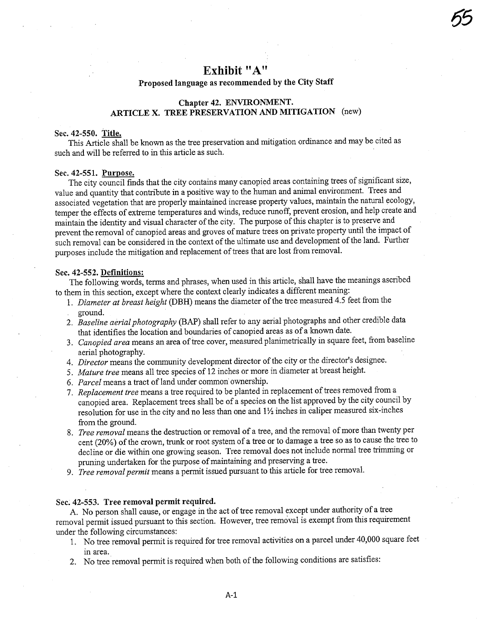# Exhibit "A"

65

## Proposed language as recommended by the City Staff

## Chapter 42. ENVIRONMENT. ARTICLE X. TREE PRESERVATION AND MITIGATION (new)

#### Sec. 42-550. Title.

This Aricle shall be known as the tree preservation and mitigation ordinance and may be cited as such and will be referred to in this aricle as such.

#### Sec. 42-551. Purpose.

The city council finds that the city contains many canopied areas containing trees of significant size, value and quantity that contribute in a positive way to the human and animal environment. Trees and associated vegetation that are properly maintained increase property values, maintain the natural ecology, temper the effects of extreme temperatues and winds, reduce runoff, prevent erosion, and help create and maintain the identity and visual character of the city. The purpose of this chapter is to preserve and prevent the removal of canopied areas and groves of mature trees on private property until the impact of such removal can be considered in the context of the ultimate use and development of the land. Further purposes include the mitigation and replacement of trees that are lost from removaL.

#### Sec. 42-552. Definitions:

The following words, terms and phrases, when used in this article, shall have the meanings ascribed to them in this section, except where the context clearly indicates a different meaning:

- 1. Diameter at breast height (DBH) means the diameter of the tree measured 4.5 feet from the ground.
- 2. Baseline aerial photography (BAP) shall refer to any aerial photographs and other credible data that identifies the location and boundaries of canopied areas as of a known date.
- 3. Canopied area means an area of tree cover, measured planimetrically in square feet, from baseline aerial photography.
- 4. Director means the community development director of the city or the director's designee.
- 5. Mature tree means all tree species of 12 inches or more in diameter at breast height.
- 6. Parcel means a tract of land under common ownership.
- 7. Replacement tree means a tree required to be planted in replacement of trees removed from a canopied area. Replacement trees shall be of a species on the list approved by the city council by resolution for use in the city and no less than one and  $1\frac{1}{2}$  inches in caliper measured six-inches from the ground.
- 8. Tree removal means the destruction or removal of a tree, and the removal of more than twenty per cent (20%) of the crown, trunk or root system of a tree or to damage a tree so as to cause the tree to decline or die within one growing season. Tree removal does not include normal tree trmming or pruning undertaken for the purpose of maintaining and preserving a tree.
- 9. Tree removal permit means a permit issued pursuant to this article for tree removal.

#### Sec. 42-553. Tree removal permit required.

A. No person shall cause, or engage in the act of tree removal except under authority of a tree removal permit issued pursuant to this section. However, tree removal is exempt from this requirement under the following circumstances:

- 1. No tree removal permit is required for tree removal activities on a parcel under 40,000 square feet in area.
- 2. No tree removal permit is required when both of the following conditions are satisfies: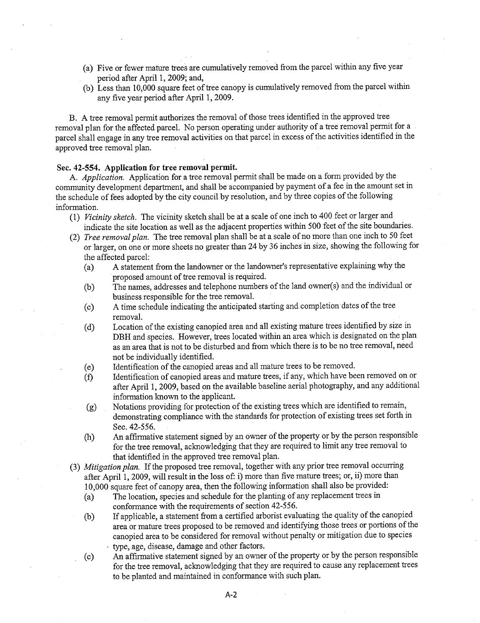- (a) Five or fewer mature trees are cumulatively removed from the parcel within any five year period after April 1, 2009; and,
- (b) Less than 10,000 square feet of tree canopy is cumulatively removed from the parcel within any five year period after April 1, 2009.

B. A tree removal permit authorizes the removal of those trees identified in the approved tree removal plan for the affected parcel. No person operating under authority of a tree removal permit for a parcel shall engage in any tree removal activities on that parcel in excess of the activities identified in the approved tree removal plan.

## Sec. 42-554. Application for tree removal permit.

A. Application. Application for a tree removal permit shall be made on a form provided by the community development department, and shall be accompanied by payment of a fee in the amount set in the schedule of fees adopted by the city council by resolution, and by three copies of the following information.

- (1) Vicinity sketch. The vicinity sketch shall be at a scale of one inch to 400 feet or larger and indicate the site location as well as the adjacent properties within 500 feet of the site boundaries.
- (2) Tree removal plan. The tree removal plan shall be at a scale of no more than one inch to 50 feet or larger, on one or more sheets no greater than 24 by 36 inches in size, showing the following for the affected parcel:
	- (a) A statement from the landowner or the landowner's representative explaining why the proposed amount of tree removal is required.
	- (b) The names, addresses and telephone numbers of the land owner( s) and the individual or business responsible for the tree removaL.
	- (c) A time schedule indicating the anticipated staring and completion' dates of the tree removaL.
	- (d) Location of the existing canopied area and all existing mature trees identified by size in DBH and species. However, trees located within an area which is designated on the plan as an area that is not to be disturbed and from which there is to be no tree removal, need not be individually identified.<br>Identification of the canopied areas and all mature trees to be removed.
	- (e) Identification of the canopied areas and all mature trees to be removed.
	- (f) Identification of canopied areas and mature trees, if any, which have been removed on or after Apri11, 2009, based on the available baseline aerial photography, and any additional information known to the applicant.
	- (g) Notations providing for protection of the existing trees which are identified to remain, demonstrating compliance with the standards for protection of existing trees set forth in Sec. 42-556.
	- for the tree removal, acknowledging that they are required to limit any tree removal to for the tree removal, acknowledging that they are required to limit any tree removal to An affirmative statement signed by an owner of the property or by the person responsible that identified in the approved tree removal plan.
- (3) Mitigation plan. If the proposed tree removal, together with any prior tree removal occurring after April 1, 2009, will result in the loss of: i) more than five mature trees; or, ii) more than 10,000 square feet of canopy area, then the following information shall also be provided:
	- ( a) The location, species and schedule for the planting of any replacement trees in conformance with the requirements of section 42-556.
	- (b) If applicable, a statement from a certified arborist evaluating the quality of the canopied area or matue trees proposed to be removed and identifying those trees or portons of the canopied area to be considered for removal without penalty or mitigation due to species tye, age, disease, damage and other factors.
	- (c) An affirmative statement signed by an owner of the property or by the person responsible for the tree removal, acknowledging that they are required to cause any replacement trees to be planted and maintained in conformance with such plan.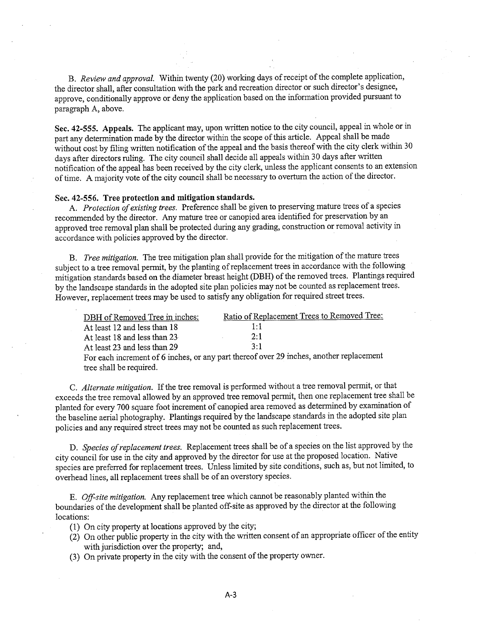B. Review and approval. Within twenty (20) working days of receipt of the complete application, the director shall, after consultation with the park and recreation director or such director's designee, approve, conditionally approve or deny the application based on the information provided pursuant to paragraph A, above.

Sec. 42-555. Appeals. The applicant may, upon written notice to the city council, appeal in whole or in part any determination made by the director within the scope of this article. Appeal shall be made without cost by fiing written notification of the appeal and the basis thereof with the city clerk within 30 days after directors ruling. The city council shall decide all appeals within 30 days after written notification of the appeal has been received by the city clerk, unless the applicant consents to an extension of time. A majority vote of the city council shall be necessary to overturn the action of the director.

#### Sec. 42-556. Tree protection and mitigation standards.

A. Protection of existing trees. Preference shall be given to preserving mature trees of a species recommended by the director. Any matue tree or canopied area identified for preservation by an approved tree removal plan shall be protected during any grading, construction or removal activity in accordance with policies approved by the director.

B. Tree mitigation. The tree mitigation plan shall provide for the mitigation of the mature trees subject to a tree removal permit, by the planting of replacement trees in accordance with the following mitigation standards based on the diameter breast height (DBH) of the removed trees. Plantings required by the landscape standards in the adopted site plan policies may not be counted as replacement trees. However, replacement trees may be used to satisfy any obligation for required street trees.

| DBH of Removed Tree in inches:                                                          | Ratio of Replacement Trees to Removed Tree: |  |  |  |
|-----------------------------------------------------------------------------------------|---------------------------------------------|--|--|--|
| At least 12 and less than 18                                                            | 1:1                                         |  |  |  |
| At least 18 and less than 23                                                            | 2:1                                         |  |  |  |
| At least 23 and less than 29                                                            | $3 \cdot 1$                                 |  |  |  |
| For each increment of 6 inches, or any part thereof over 29 inches, another replacement |                                             |  |  |  |
| tree shall be required.                                                                 |                                             |  |  |  |

C. Alternate mitigation. If the tree removal is performed without a tree removal permit, or that exceeds the tree removal allowed by an approved tree removal permt, then one replacement tree shall be planted for every 700 square foot increment of canopied area removed as determined by examination of the baseline aerial photography. P1antings required by the landscape standards in the adopted site plan policies and any required street trees may not be counted as such replacement trees.

D. Species of replacement trees. Replacement trees shall be of a species on the list approved by the city council for use in the city and approved by the director for use at the proposed location. Native species are preferred for replacement trees. Unless limited by site conditions, such as, but not limited, to overhead lines, all replacement trees shall be of an overstory species.

E. Off-site mitigation. Any replacement tree which cannot be reasonably planted within the boundaries of the development shall be planted off-site as approved by the director at the following locations:

- $(1)$  On city property at locations approved by the city;
- $(2)$  On other public property in the city with the written consent of an appropriate officer of the entity with jurisdiction over the property; and,
- (3) On private property in the city with the consent of the property owner.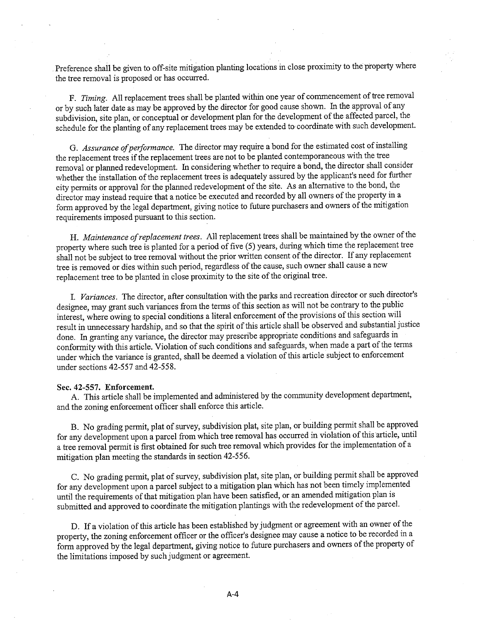Preference shall be given to off-site mitigation planting locations in close proximity to the property where the tree removal is proposed or has occurred.

F. Timing. All replacement trees shall be planted within one year of commencement of tree removal or by such later date as may be approved by the director for good cause shown. In the approval of any subdivision, site plan, or conceptual or development plan for the development of the affected parcel, the schedule for the planting of any replacement trees may be extended to- coordinate with such development.

G. Assurance of performance. The director may require a bond for the estimated cost of installing the replacement trees if the replacement trees are not to be planted contemporaneous with the tree removal or planed redevelopment. In considering whether to require a bond, the director shall consider whether the installation of the replacement trees is adequately assured by the applicant's need for further city permits or approval for the planned redevelopment of the site. As an alternative to the bond, the director may instead require that a notice be executed and recorded by all owners of the property in a form approved by the legal department, giving notice to future purchasers and owners of the mitigation requirements imposed pursuant to this section.

H. Maintenance of replacement trees. All replacement trees shall be maintained by the owner of the property where such tree is planted for a period of five (5) years, during which time the replacement tree shall not be subject to tree removal without the prior wrtten consent of the director. If any replacement tree is removed or dies within such period, regardless of the cause, such owner shall cause a new replacement tree to be planted in close proximity to the site of the original tree.

I. Variances. The director, after consultation with the parks and recreation director or such director's designee, may grant such variances from the terms of this section as will not be contrary to the public interest, where owing to special conditions a literal enforcement of the provisions of this section wil result in unecessary hardship, and so that the spirit of this aricle shall be observed and substantial justice done. In granting any variance, the director may prescribe appropriate conditions and safeguards in conformity with this article. Violation of such conditions and safeguards, when made a part of the terms under which the variance is granted, shall be deemed a violation of this article subject to enforcement under sections 42-557 and 42-558.

#### Sec. 42-557. Enforcement.

A. This article shall be implemented and administered by the community development department, and the zoning enforcement officer shall enforce this article.

B. No grading permit, plat of survey, subdivision plat, site plan, or building permit shall be approved for any development upon a parcel from which tree removal has occured in violation of this aricle, until a tree removal permt is first obtained for such tree removal which provides for the implementation of a mitigation plan meeting the standards in section 42-556.

C. No grading permit, plat of survey, subdivision plat, site plan, or building permit shall be approved for any development upon a parcel subject to a mitigation plan which has not been timely implemented until the requirements of that mitigation plan have been satisfied, or an amended mitigation plan is submitted and approved to coordinate the mitigation plantings with the redevelopment of the parcel.

D. If a violation of this article has been established by judgment or agreement with an owner of the property, the zoning enforcement officer or the officer's designee may cause a notice to be recorded in a form approved by the legal department, giving notice to future purchasers and owners of the property of the limitations imposed by such judgment or agreement.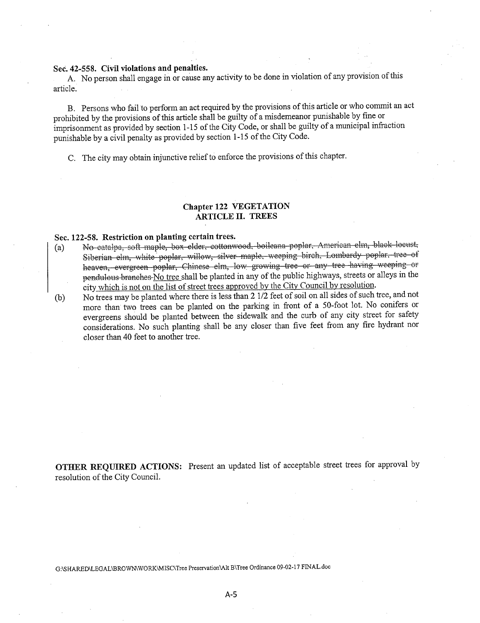## Sec. 42-558. Civil violations and penalties.

A. No person shall engage in or cause any activity to be done in violation of any provision of this article.

B. Persons who fail to perform an act required by the provisions of this aricle or who commit an act prohibited by the provisions of this article shall be guilty of a misdemeanor punishable by fine or imprisonment as provided by section 1-15 of the City Code, or shall be guilty of a municipal infraction punishable by a civil penalty as provided by section 1-15 of the City Code.

C. The city may obtain injunctive relief to enforce the provisions of this chapter.

## Chapter 122 VEGETATION ARTICLE II. TREES

#### Sec. 122-58. Restriction on planting certain trees.

- (a) No catalpa, soft maple, box elder, cottonwood, boileana poplar. American elm, black locust, Siberian elm, white poplar, willow, silver maple, weeping birch, Lombardy poplar, tree of heaven, evergreen poplar, Chinese elm, low growing tree or any tree having weeping or pendulous branches No tree shall be planted in any of the public highways, streets or alleys in the city which is not on the list of street trees approved by the City Council by resolution.
- (b) No trees may be planted where there is less than 2 1/2 feet of soil on all sides of such tree, and not more than two trees can be planted on the parking in front of a 50-foot lot. No conifers or evergreens should be planted between the sidewalk and the curb of any city street for safety considerations. No such planting shall be any closer than five feet from any fire hydrant nor closer than 40 feet to another tree.

OTHER REQUIRED ACTIONS: Present an updated list of acceptable street trees for approval by resolution of the City CounciL.

G:\SHARED\LEGAL\BROWNWORK\MISC\Tree Preservation\Alt B\Tree Ordinance 09-02-17 FINAL.doc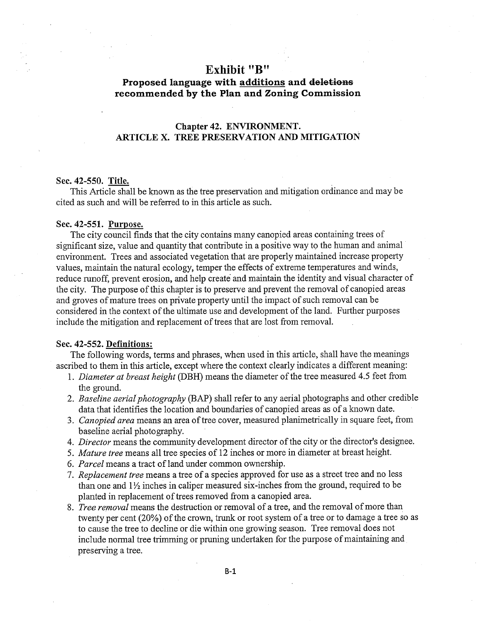## Exhibit "B"

## Proposed language with additions and deletions recommended by the Plan and Zoning Commission

## Chapter 42. ENVIRONMENT. ARTICLE X. TREE PRESERVATION AND MITIGATION

### Sec. 42-550. Title.

This Aricle shall be known as the tree preservation and mitigation ordinance and may be cited as such and will be referred to in this aricle as such.

#### Sec. 42-551. Purpose.

The city council finds that the city contains many canopied areas containing trees of significant size, value and quantity that contribute in a positive way to the human and animal environment. Trees and associated vegetation that are properly maintained increase property values, maintain the natural ecology, temper the effects of extreme temperatures and winds, reduce runoff, prevent erosion, and help create and maintain the identity and visual character of the city. The purpose of this chapter is to preserve and prevent the removal of canopied areas and groves of mature trees on private property until the impact of such removal can be considered in the context of the ultimate use and development of the land. Further purposes include the mitigation and replacement of trees that are lost from removaL.

### Sec. 42-552. Definitions:

The following words, terms and phrases, when used in this article, shall have the meanings ascribed to them in this article, except where the context clearly indicates a different meaning:

- 1. Diameter at breast height (DBH) means the diameter of the tree measured 4.5 feet from the ground.
- 2. Baseline aerial photography (BAP) shall refer to any aerial photographs and other credible data that identifies the location and boundaries of canopied areas as of a known date.
- 3. Canopied area means an area of tree cover, measured planimetrically in square feet, from baseline aerial photography.
- 4. Director means the community development director of the city or the director's designee.
- 5. Mature tree means all tree species of 12 inches or more in diameter at breast height.
- 6. Parcel means a tract of land under common ownership.
- 7. Replacement tree means a tree of a species approved for use as a street tree and no less than one and  $1\frac{1}{2}$  inches in caliper measured six-inches from the ground, required to be planted in replacement of trees removed from a canopied area.
- S. Tree removal means the destruction or removal of a tree, and the removal of more than twenty per cent (20%) of the crown, trunk or root system of a tree or to damage a tree so as to cause the tree to decline or die within one growing season. Tree removal does not include normal tree trimming or pruning undertaken for the purpose of maintaining and preserving a tree.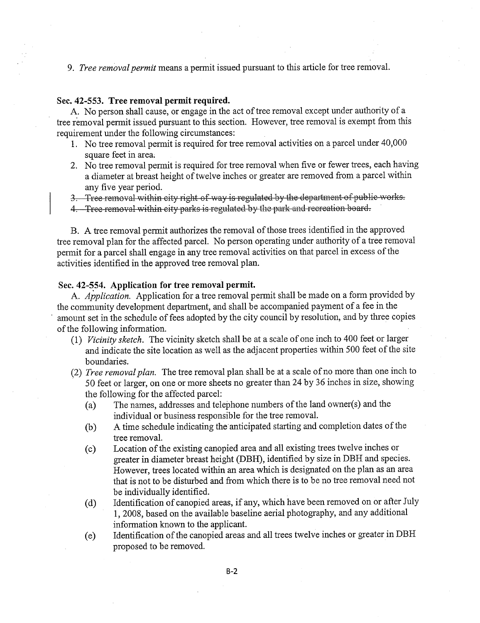9. *Tree removal permit* means a permit issued pursuant to this article for tree removal.

#### Sec. 42-553. Tree removal permit required.

A. No person shall cause, or engage in the act of tree removal except under authority of a tree removal permit issued pursuant to this section. However, tree removal is exempt from this requirement under the following circumstances:

- 1. No tree removal permit is required for tree removal activities on a parcel under 40,000 square feet in area;
- 2. No tree removal permit is required for tree removal when five or fewer trees, each having a diameter at breast height of twelve inches or greater are removed from a parcel within any five year period.

3. Tree removal within city right of way is regulated by the department of public works.

4. Tree removal within city parks is regulated by the park and recreation board.

B. A tree removal permit authorizes the removal of those trees identified in the approved tree removal plan for the affected parceL. No person operating under authority of a tree removal permit for a parcel shall engage in any tree removal activities on that parcel in excess of the activities identified in the approved tree removal plan.

## Sec. 42-554. Application for tree removal permit.

A. Application. Application for a tree removal permit shall be made on a form provided by the community development department, and shall be accompanied payment of a fee in the amount set in the schedule of fees adopted by the city council by resolution, and by three copies of the following information.

- (1) Vicinity sketch. The vicinity sketch shall be at a scale of one inch to 400 feet or larger and indicate the site location as well as the adjacent properties within 500 feet of the site boundaries.
- (2) *Tree removal plan*. The tree removal plan shall be at a scale of no more than one inch to 50 feet or larger, on one or more sheets no greater than 24 by 36 inches in size, showing the following for the affected parcel:
	- (a) The names, addresses and telephone numbers ofthe land owner(s) and the individual or business responsible for the tree removaL.
	- (b) A time schedule indicating the anticipated staring and completion dates of the tree removaL.
	- (c) Location of the existing canopied area and all existing trees twelve inches or greater in diameter breast height (DBH), identified by size in DBH and species. However, trees located within an area which is designated on the plan as an area that is not to be distubed and from which there is to be no tree removal need not be individually identified.
	- (d) Identification of canopied areas, if any, which have been removed on or after July 1,2008, based on the available baseline aerial photography, and any additional information known to the applicant.
	- (e) Identification of the canopied areas and all trees twelve inches or greater in DBH proposed to be removed.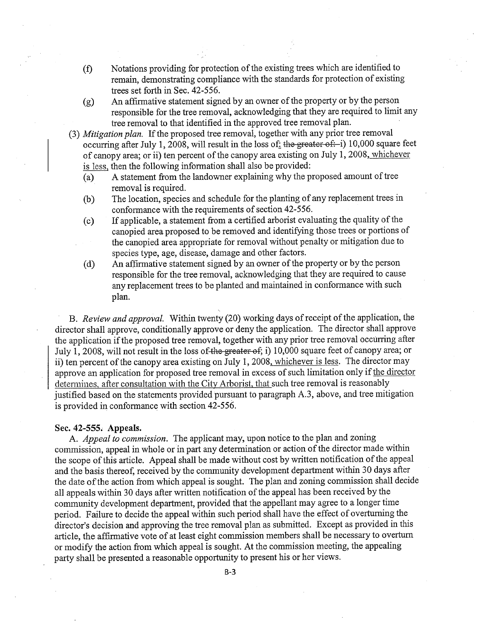- (f) Notations providing for protection of the existing trees which are identified to remain, demonstrating compliance with the standards for protection of existing trees set forth in Sec. 42-556.
- (g) An affirmative statement signed by an owner of the property or by the person responsible for the tree removal, acknowledging that they are required to limit any tree removal to that identified in the approved tree removal plan.
- (3) Mitigation plan. If the proposed tree removal, together with any prior tree removal occurring after July 1, 2008, will result in the loss of: the greater of: i) 10,000 square feet of canopy area; or ii) ten percent of the canopy area existing on July 1, 2008, whichever is less, then the following information shall also be provided:
	- (a) A statement from the landowner explaining why the proposed amount of tree removal is required.
	- (b) The location, species and schedule for the planting of any replacement trees in conformance with the requirements of section 42-556.
	- (c) If applicable, a statement from a certified arborist evaluating the quality of the canopied area proposed to be rerroved and identifyng those trees or portions of the canopied area appropriate for removal without penalty or mitigation due to species type, age, disease, damage and other factors.
	- (d) An affirmative statement signed by an owner of the property or by the person responsible for the tree removal, acknowledging that they are required to cause any replacement trees to be planted and maintained in conformance with such plan.

B. Review and approval. Within twenty (20) working days of receipt of the application, the director shall approve, conditionally approve or deny the application. The director shall approve the application if the proposed tree removal, together with any prior tree removal occurring after July 1, 2008, will not result in the loss of the greater of; i) 10,000 square feet of canopy area; or ii) ten percent of the canopy area existing on July 1, 2008, whichever is less. The director may approve an application for proposed tree removal in excess of such limitation only if the director determines. after consultation with the City Arborist, that such tree removal is reasonably justified based on the statements provided pursuant to paragraph A.3, above, and tree mitigation is provided in conformance with section 42-556.

#### Sec. 42-555. Appeals.

A. Appeal to commission. The applicant may, upon notice to the plan and zoning commission, appeal in whole or in part any determination or action of the director made within the scope of this article. Appeal shall be made without cost by written notification of the appeal and the basis thereof, received by the community development department within 30 days after the date of the action from which appeal is sought. The plan and zoning commission shall decide all appeals within 30 days after wrtten notification of the appeal has been received by the community development department, provided that the appellant may agree to a longer time period. Failure to decide the appeal within such period shall have the effect of overturning the director's decision and approving the tree removal plan as submitted. Except as provided in this aricle, the affrmative vote of at least eight commission members shall be necessary to overturn or modify the action from which appeal is sought. At the commission meeting, the appealing pary shall be presented a reasonable opportunity to present his or her views.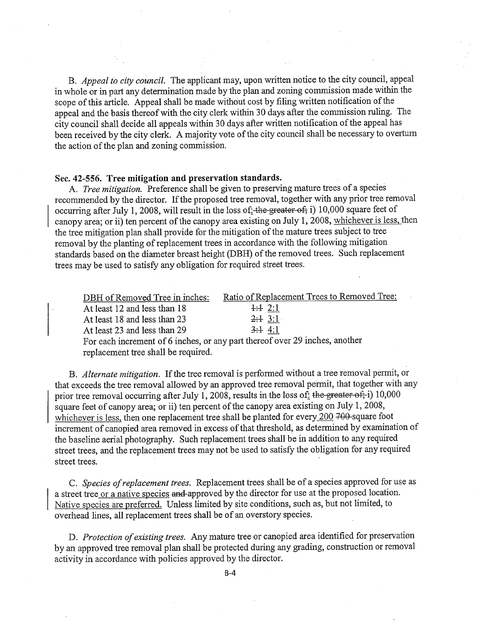B. Appeal to city council. The applicant may, upon written notice to the city council, appeal in whole or in part any determination made by the plan and zoning commission made within the scope of this article. Appeal shall be made without cost by filing written notification of the appeal and the basis thereof with the city clerk within 30 days after the commission ruling. The city council shall decide all appeals within 30 days after written notification of the appeal has been received by the city clerk. A majority vote of the city council shall be necessary to overturn the action of the plan and zoning commission.

## Sec. 42-556. Tree mitigation and preservation standards.

A. Tree mitigation. Preference shall be given to preserving mature trees of a species recommended by the director. If the proposed tree removal, together with any prior tree removal occurring after July 1, 2008, will result in the loss of  $\frac{1}{2}$  the greater of; i) 10,000 square feet of canopy area; or ii) ten percent of the canopy area existing on July 1, 2008, whichever is less, then the tree mitigation plan shall provide for the mitigation of the mature trees subject to tree removal by the planting of replacement trees in accordance with the following mitigation standards based on the diameter breast height (DBH) of the removed trees. Such replacement trees may be used to satisfy any obligation for required street trees.

| DBH of Removed Tree in inches:                                              | Ratio of Replacement Trees to Removed Tree: |  |  |  |
|-----------------------------------------------------------------------------|---------------------------------------------|--|--|--|
| At least 12 and less than 18                                                | $\pm 1$ 2:1                                 |  |  |  |
| At least 18 and less than 23                                                | 2:13:1                                      |  |  |  |
| At least 23 and less than 29                                                | 3:14:1                                      |  |  |  |
| For each increment of 6 inches, or any part thereof over 29 inches, another |                                             |  |  |  |
| replacement tree shall be required.                                         |                                             |  |  |  |

B. Alternate mitigation. If the tree removal is performed without a tree removal permit, or that exceeds the tree removal allowed by an approved tree removal permit, that together with any prior tree removal occurring after July 1, 2008, results in the loss of: the greater of; i) 10,000 square feet of canopy area; or ii) ten percent of the canopy area existing on July 1, 2008, whichever is less, then one replacement tree shall be planted for every  $200$   $700$ -square foot increment of canopied area removed in excess of that threshold, as determined by examination of the baseline aerial photography. Such replacement trees shall be in addition to any required street trees, and the replacement trees may not be used to satisfy the obligatìon for any required street trees.

C. Species of replacement trees. Replacement trees shall be of a species approved for use as a street tree or a native species and approved by the director for use at the proposed location. Native species are preferred. Unlesslimited by site conditions, such as, but not limited, to overhead lines, all replacement trees shall be of an overstory species.

D. Protection of existing trees. Any mature tree or canopied area identified for preservation by an approved tree removal plan shall be protected during any grading, construction or removal activity in accordance with policies approved by the director.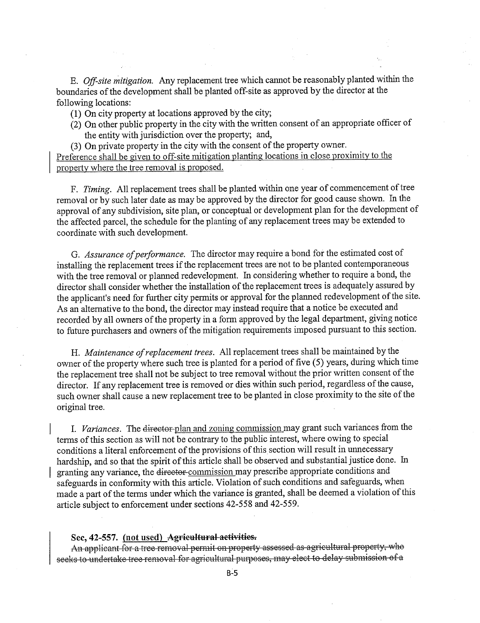E. Off-site mitigation. Any replacement tree which cannot be reasonably planted within the boundaries of the development shall be planted off-site as approved by the director at the following locations:

(1) On city property at locations approved by the city;

(2) On other public property in the city with the wrtten consent of an appropriate offcer of the entity with jurisdiction over the property; and,

(3) On private property in the city with the consent of the property owner.

Preference shall be given to off-site mitigation planting locations in close proximity to the property where the tree removal is proposed.

F. Timing. All replacement trees shall be planted within one year of commencement of tree removal or by such later date as may be approved by the director for good cause shown. In the approval of any subdivision, site plan, or conceptual or development plan for the development of the affected parcel, the schedule for the planting of any replacement trees may be extended to coordinate with such development.

G. Assurance of performance. The director may require a bond for the estimated cost of installing the replacement trees if the replacement trees are not to be planted contemporaneous with the tree removal or planned redevelopment. In considering whether to require a bond, the director shall consider whether the installation of the replacement trees is adequately assured by the applicant's need for furher city permits or approval for the planed redevelopment of the site. As an alternative to the bond, the director may instead require that a notice be executed and recorded by all owners of the property in a form approved by the legal deparment, giving notice to future purchasers and owners of the mitigation requirements imposed pursuant to this section.

H. Maintenance of replacement trees. All replacement trees shall be maintained by the owner of the property where such tree is planted for a period of five (5) years, during which time the replacement tree shall not be subject to tree removal without the prior written consent of the director. If any replacement tree is removed or dies within such period, regardless of the cause, such owner shall cause a new replacement tree to be planted in close proximity to the site of the original tree.

1. Variances. The director plan and zoning commission may grant such variances from the terms of this section as will not be contrary to the public interest, where owing to special conditions a literal enforcement of the provisions of this section will result in unnecessary hardship, and so that the spirit of this article shall be observed and substantial justice done. In granting any variance, the director commission may prescribe appropriate conditions and safeguards in conformity with this aricle. Violation of such conditions and safeguards, when made a part of the terms under which the variance is granted, shall be deemed a violation of this aricle subject to enforcement under sections 42-558 and 42-559.

#### See, 42-557. (not used) Agricaltural activities.

An applicant for a tree removal permit on property assessed as agricultural property, who seeks to undertake tree removal for agricultural purposes, may elect to delay submission of a